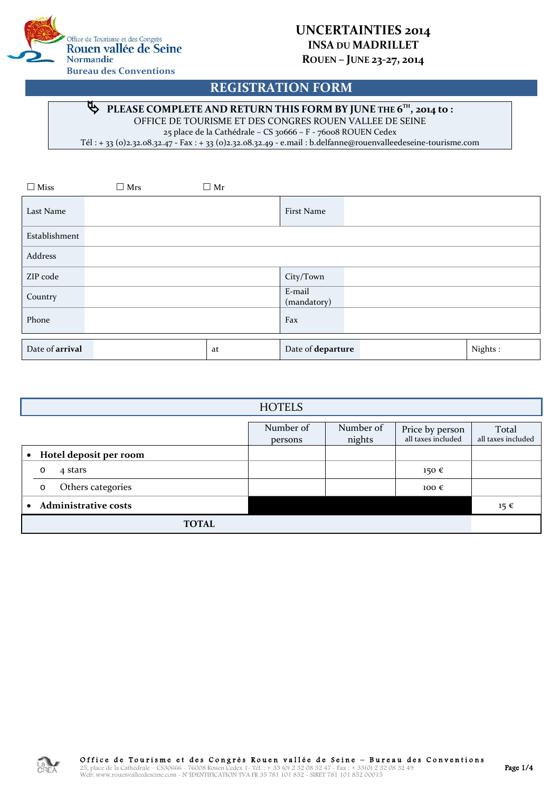

## **UNCERTAINTIES 2014 INSA DU MADRILLET ROUEN – JUNE 23-27, 2014**

## **REGISTRATION FORM**

#### **PLEASE COMPLETE AND RETURN THIS FORM BY JUNE THE 6TH, 2014 to :**  $\phi$

OFFICE DE TOURISME ET DES CONGRES ROUEN VALLEE DE SEINE

25 place de la Cathédrale – CS 30666 – F - 76008 ROUEN Cedex

Tél : + 33 (0)2.32.08.32.47 - Fax : + 33 (0)2.32.08.32.49 - e.mail : b.delfanne@rouenvalleedeseine-tourisme.com

| $\Box$ Miss     | $\Box$ Mrs | $\Box$ Mr |                       |         |
|-----------------|------------|-----------|-----------------------|---------|
| Last Name       |            |           | First Name            |         |
| Establishment   |            |           |                       |         |
| Address         |            |           |                       |         |
| ZIP code        |            |           | City/Town             |         |
| Country         |            |           | E-mail<br>(mandatory) |         |
| Phone           |            |           | Fax                   |         |
| Date of arrival |            | at        | Date of departure     | Nights: |

| <b>HOTELS</b>                       |                      |                     |                                       |                             |
|-------------------------------------|----------------------|---------------------|---------------------------------------|-----------------------------|
|                                     | Number of<br>persons | Number of<br>nights | Price by person<br>all taxes included | Total<br>all taxes included |
| Hotel deposit per room<br>$\bullet$ |                      |                     |                                       |                             |
| 4 stars<br>$\circ$                  |                      |                     | 150€                                  |                             |
| Others categories<br>$\circ$        |                      |                     | 100 $\epsilon$                        |                             |
| <b>Administrative costs</b>         |                      |                     |                                       | $15 \in$                    |
| <b>TOTAL</b>                        |                      |                     |                                       |                             |

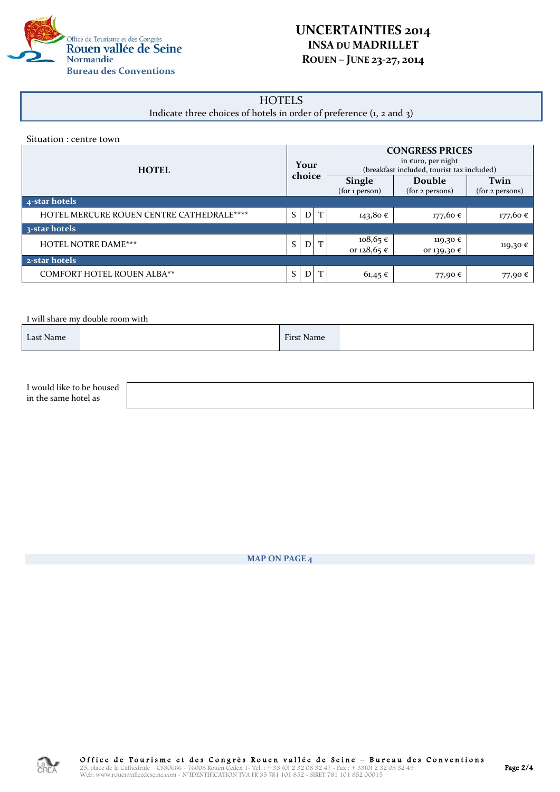

## **UNCERTAINTIES 2014 INSA DU MADRILLET ROUEN – JUNE 23-27, 2014**

# **HOTELS**

Indicate three choices of hotels in order of preference (1, 2 and 3)

| Situation : centre town |  |  |  |
|-------------------------|--|--|--|
|-------------------------|--|--|--|

| <b>HOTEL</b>                                     |  | Your<br>choice | <b>CONGRESS PRICES</b><br>in $\epsilon$ uro, per night<br>(breakfast included, tourist tax included)<br><b>Single</b><br>Twin<br>Double |                         |                 |
|--------------------------------------------------|--|----------------|-----------------------------------------------------------------------------------------------------------------------------------------|-------------------------|-----------------|
|                                                  |  |                | (for 1 person)                                                                                                                          | (for 2 persons)         | (for 2 persons) |
| 4-star hotels                                    |  |                |                                                                                                                                         |                         |                 |
| <b>HOTEL MERCURE ROUEN CENTRE CATHEDRALE****</b> |  | T              | 143,80€                                                                                                                                 | 177,60 €                | 177,60 €        |
| 3-star hotels                                    |  |                |                                                                                                                                         |                         |                 |
| <b>HOTEL NOTRE DAME***</b>                       |  | T              | $108,65 \in$<br>or $128,65$ €                                                                                                           | 119,30 €<br>or 139,30 € | 119,30 €        |
| 2-star hotels                                    |  |                |                                                                                                                                         |                         |                 |
| <b>COMFORT HOTEL ROUEN ALBA**</b>                |  | T              | $61,45 \in$                                                                                                                             | 77,90€                  | 77,90€          |

I will share my double room with

| Last Name | <b>First Name</b> |  |
|-----------|-------------------|--|
|           |                   |  |

| I would like to be housed |  |
|---------------------------|--|
| in the same hotel as      |  |

**MAP ON PAGE 4**

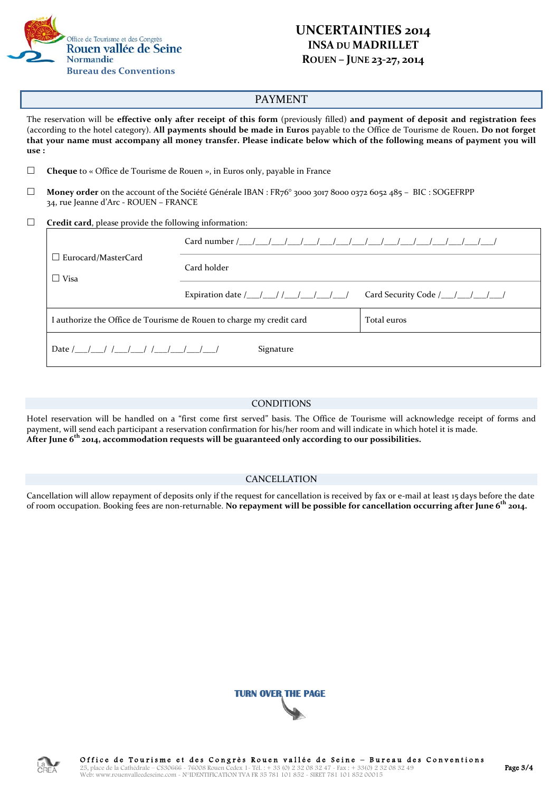

## **UNCERTAINTIES 2014 INSA DU MADRILLET ROUEN – JUNE 23-27, 2014**

### PAYMENT

The reservation will be **effective only after receipt of this form** (previously filled) **and payment of deposit and registration fees**  (according to the hotel category). **All payments should be made in Euros** payable to the Office de Tourisme de Rouen**. Do not forget that your name must accompany all money transfer. Please indicate below which of the following means of payment you will use :**

**Cheque** to « Office de Tourisme de Rouen », in Euros only, payable in France

 **Money order** on the account of the Société Générale IBAN : FR76° 3000 3017 8000 0372 6052 485 – BIC : SOGEFRPP 34, rue Jeanne d'Arc - ROUEN – FRANCE

**Credit card**, please provide the following information:

| $\Box$ Eurocard/MasterCard<br>$\Box$ Visa                            | Card holder                                     |                                  |
|----------------------------------------------------------------------|-------------------------------------------------|----------------------------------|
|                                                                      | Expiration date $/$ / / / / / / / / / / / / / / | Card Security Code /__/__/__/__/ |
| I authorize the Office de Tourisme de Rouen to charge my credit card | Total euros                                     |                                  |
| Signature                                                            |                                                 |                                  |

#### CONDITIONS

Hotel reservation will be handled on a "first come first served" basis. The Office de Tourisme will acknowledge receipt of forms and payment, will send each participant a reservation confirmation for his/her room and will indicate in which hotel it is made. **After June 6th 2014, accommodation requests will be guaranteed only according to our possibilities.**

### CANCELLATION

Cancellation will allow repayment of deposits only if the request for cancellation is received by fax or e-mail at least 15 days before the date of room occupation. Booking fees are non-returnable. **No repayment will be possible for cancellation occurring after June 6th 2014.**